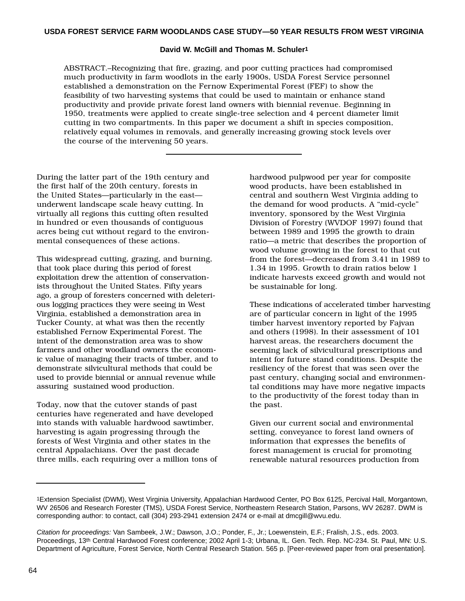#### **David W. McGill and Thomas M. Schuler1**

ABSTRACT.–Recognizing that fire, grazing, and poor cutting practices had compromised much productivity in farm woodlots in the early 1900s, USDA Forest Service personnel established a demonstration on the Fernow Experimental Forest (FEF) to show the feasibility of two harvesting systems that could be used to maintain or enhance stand productivity and provide private forest land owners with biennial revenue. Beginning in 1950, treatments were applied to create single-tree selection and 4 percent diameter limit cutting in two compartments. In this paper we document a shift in species composition, relatively equal volumes in removals, and generally increasing growing stock levels over the course of the intervening 50 years.

During the latter part of the 19th century and the first half of the 20th century, forests in the United States—particularly in the east underwent landscape scale heavy cutting. In virtually all regions this cutting often resulted in hundred or even thousands of contiguous acres being cut without regard to the environmental consequences of these actions.

This widespread cutting, grazing, and burning, that took place during this period of forest exploitation drew the attention of conservationists throughout the United States. Fifty years ago, a group of foresters concerned with deleterious logging practices they were seeing in West Virginia, established a demonstration area in Tucker County, at what was then the recently established Fernow Experimental Forest. The intent of the demonstration area was to show farmers and other woodland owners the economic value of managing their tracts of timber, and to demonstrate silvicultural methods that could be used to provide biennial or annual revenue while assuring sustained wood production.

Today, now that the cutover stands of past centuries have regenerated and have developed into stands with valuable hardwood sawtimber, harvesting is again progressing through the forests of West Virginia and other states in the central Appalachians. Over the past decade three mills, each requiring over a million tons of hardwood pulpwood per year for composite wood products, have been established in central and southern West Virginia adding to the demand for wood products. A "mid-cycle" inventory, sponsored by the West Virginia Division of Forestry (WVDOF 1997) found that between 1989 and 1995 the growth to drain ratio—a metric that describes the proportion of wood volume growing in the forest to that cut from the forest—decreased from 3.41 in 1989 to 1.34 in 1995. Growth to drain ratios below 1 indicate harvests exceed growth and would not be sustainable for long.

These indications of accelerated timber harvesting are of particular concern in light of the 1995 timber harvest inventory reported by Fajvan and others (1998). In their assessment of 101 harvest areas, the researchers document the seeming lack of silvicultural prescriptions and intent for future stand conditions. Despite the resiliency of the forest that was seen over the past century, changing social and environmental conditions may have more negative impacts to the productivity of the forest today than in the past.

Given our current social and environmental setting, conveyance to forest land owners of information that expresses the benefits of forest management is crucial for promoting renewable natural resources production from

<sup>1</sup>Extension Specialist (DWM), West Virginia University, Appalachian Hardwood Center, PO Box 6125, Percival Hall, Morgantown, WV 26506 and Research Forester (TMS), USDA Forest Service, Northeastern Research Station, Parsons, WV 26287. DWM is corresponding author: to contact, call (304) 293-2941 extension 2474 or e-mail at dmcgill@wvu.edu.

Citation for proceedings: Van Sambeek, J.W.; Dawson, J.O.; Ponder, F., Jr.; Loewenstein, E.F.; Fralish, J.S., eds. 2003. Proceedings, 13th Central Hardwood Forest conference; 2002 April 1-3; Urbana, IL. Gen. Tech. Rep. NC-234. St. Paul, MN: U.S. Department of Agriculture, Forest Service, North Central Research Station. 565 p. [Peer-reviewed paper from oral presentation].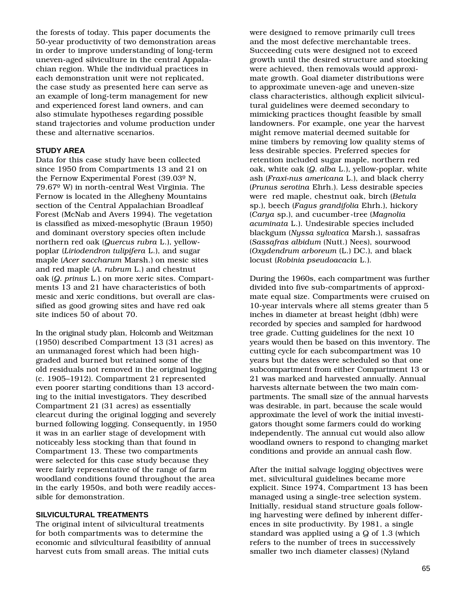the forests of today. This paper documents the 50-year productivity of two demonstration areas in order to improve understanding of long-term uneven-aged silviculture in the central Appalachian region. While the individual practices in each demonstration unit were not replicated, the case study as presented here can serve as an example of long-term management for new and experienced forest land owners, and can also stimulate hypotheses regarding possible stand trajectories and volume production under these and alternative scenarios.

### **STUDY AREA**

Data for this case study have been collected since 1950 from Compartments 13 and 21 on the Fernow Experimental Forest (39.03º N, 79.67º W) in north-central West Virginia. The Fernow is located in the Allegheny Mountains section of the Central Appalachian Broadleaf Forest (McNab and Avers 1994). The vegetation is classified as mixed-mesophytic (Braun 1950) and dominant overstory species often include northern red oak (*Quercus rubra* L.), yellowpoplar (*Liriodendron tulipifera* L.), and sugar maple (*Acer saccharum* Marsh.) on mesic sites and red maple (*A. rubrum* L.) and chestnut oak (*Q. prinus* L.) on more xeric sites. Compartments 13 and 21 have characteristics of both mesic and xeric conditions, but overall are classified as good growing sites and have red oak site indices 50 of about 70.

In the original study plan, Holcomb and Weitzman (1950) described Compartment 13 (31 acres) as an unmanaged forest which had been highgraded and burned but retained some of the old residuals not removed in the original logging (c. 1905–1912). Compartment 21 represented even poorer starting conditions than 13 according to the initial investigators. They described Compartment 21 (31 acres) as essentially clearcut during the original logging and severely burned following logging. Consequently, in 1950 it was in an earlier stage of development with noticeably less stocking than that found in Compartment 13. These two compartments were selected for this case study because they were fairly representative of the range of farm woodland conditions found throughout the area in the early 1950s, and both were readily accessible for demonstration.

# **SILVICULTURAL TREATMENTS**

The original intent of silvicultural treatments for both compartments was to determine the economic and silvicultural feasibility of annual harvest cuts from small areas. The initial cuts

were designed to remove primarily cull trees and the most defective merchantable trees. Succeeding cuts were designed not to exceed growth until the desired structure and stocking were achieved, then removals would approximate growth. Goal diameter distributions were to approximate uneven-age and uneven-size class characteristics, although explicit silvicultural guidelines were deemed secondary to mimicking practices thought feasible by small landowners. For example, one year the harvest might remove material deemed suitable for mine timbers by removing low quality stems of less desirable species. Preferred species for retention included sugar maple, northern red oak, white oak (*Q. alba* L.), yellow-poplar, white ash (*Fraxi-nus americana* L.), and black cherry (*Prunus serotina* Ehrh.). Less desirable species were red maple, chestnut oak, birch (*Betula* sp.), beech (*Fagus grandifolia* Ehrh.), hickory (*Carya* sp.), and cucumber-tree (*Magnolia acuminata* L.). Undesirable species included blackgum (*Nyssa sylvatica* Marsh.), sassafras (*Sassafras albidum* (Nutt.) Nees), sourwood (*Oxydendrum arboreum* (L.) DC.), and black locust (*Robinia pseudoacacia* L.).

During the 1960s, each compartment was further divided into five sub-compartments of approximate equal size. Compartments were cruised on 10-year intervals where all stems greater than 5 inches in diameter at breast height (dbh) were recorded by species and sampled for hardwood tree grade. Cutting guidelines for the next 10 years would then be based on this inventory. The cutting cycle for each subcompartment was 10 years but the dates were scheduled so that one subcompartment from either Compartment 13 or 21 was marked and harvested annually. Annual harvests alternate between the two main compartments. The small size of the annual harvests was desirable, in part, because the scale would approximate the level of work the initial investigators thought some farmers could do working independently. The annual cut would also allow woodland owners to respond to changing market conditions and provide an annual cash flow.

After the initial salvage logging objectives were met, silvicultural guidelines became more explicit. Since 1974, Compartment 13 has been managed using a single-tree selection system. Initially, residual stand structure goals following harvesting were defined by inherent differences in site productivity. By 1981, a single standard was applied using a Q of 1.3 (which refers to the number of trees in successively smaller two inch diameter classes) (Nyland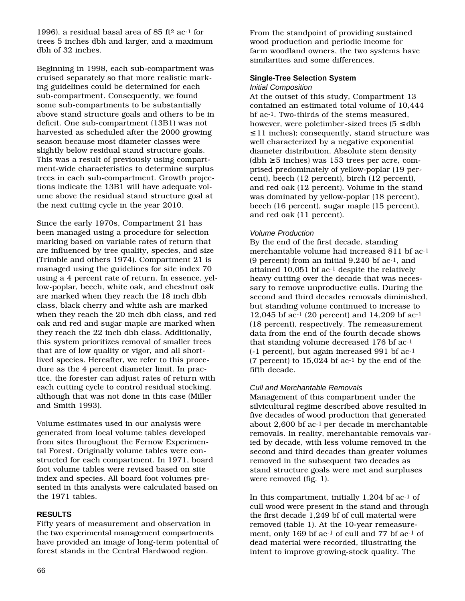1996), a residual basal area of 85 ft2 ac-1 for trees 5 inches dbh and larger, and a maximum dbh of 32 inches.

Beginning in 1998, each sub-compartment was cruised separately so that more realistic marking guidelines could be determined for each sub-compartment. Consequently, we found some sub-compartments to be substantially above stand structure goals and others to be in deficit. One sub-compartment (13B1) was not harvested as scheduled after the 2000 growing season because most diameter classes were slightly below residual stand structure goals. This was a result of previously using compartment-wide characteristics to determine surplus trees in each sub-compartment. Growth projections indicate the 13B1 will have adequate volume above the residual stand structure goal at the next cutting cycle in the year 2010.

Since the early 1970s, Compartment 21 has been managed using a procedure for selection marking based on variable rates of return that are influenced by tree quality, species, and size (Trimble and others 1974). Compartment 21 is managed using the guidelines for site index 70 using a 4 percent rate of return. In essence, yellow-poplar, beech, white oak, and chestnut oak are marked when they reach the 18 inch dbh class, black cherry and white ash are marked when they reach the 20 inch dbh class, and red oak and red and sugar maple are marked when they reach the 22 inch dbh class. Additionally, this system prioritizes removal of smaller trees that are of low quality or vigor, and all shortlived species. Hereafter, we refer to this procedure as the 4 percent diameter limit. In practice, the forester can adjust rates of return with each cutting cycle to control residual stocking, although that was not done in this case (Miller and Smith 1993).

Volume estimates used in our analysis were generated from local volume tables developed from sites throughout the Fernow Experimental Forest. Originally volume tables were constructed for each compartment. In 1971, board foot volume tables were revised based on site index and species. All board foot volumes presented in this analysis were calculated based on the 1971 tables.

### **RESULTS**

Fifty years of measurement and observation in the two experimental management compartments have provided an image of long-term potential of forest stands in the Central Hardwood region.

From the standpoint of providing sustained wood production and periodic income for farm woodland owners, the two systems have similarities and some differences.

### **Single-Tree Selection System**

### Initial Composition

At the outset of this study, Compartment 13 contained an estimated total volume of 10,444 bf ac-1. Two-thirds of the stems measured, however, were poletimber-sized trees  $(5 \leq$  dbh ≤ 11 inches); consequently, stand structure was well characterized by a negative exponential diameter distribution. Absolute stem density  $(dbh \geq 5$  inches) was 153 trees per acre, comprised predominately of yellow-poplar (19 percent), beech (12 percent), birch (12 percent), and red oak (12 percent). Volume in the stand was dominated by yellow-poplar (18 percent), beech (16 percent), sugar maple (15 percent), and red oak (11 percent).

### Volume Production

By the end of the first decade, standing merchantable volume had increased 811 bf ac-1 (9 percent) from an initial 9,240 bf ac-1, and attained 10,051 bf ac-1 despite the relatively heavy cutting over the decade that was necessary to remove unproductive culls. During the second and third decades removals diminished, but standing volume continued to increase to 12,045 bf ac-1 (20 percent) and 14,209 bf ac-1 (18 percent), respectively. The remeasurement data from the end of the fourth decade shows that standing volume decreased 176 bf ac-1 (-1 percent), but again increased 991 bf ac-1 (7 percent) to 15,024 bf ac-1 by the end of the fifth decade.

### Cull and Merchantable Removals

Management of this compartment under the silvicultural regime described above resulted in five decades of wood production that generated about 2,600 bf ac-1 per decade in merchantable removals. In reality, merchantable removals varied by decade, with less volume removed in the second and third decades than greater volumes removed in the subsequent two decades as stand structure goals were met and surpluses were removed (fig. 1).

In this compartment, initially 1,204 bf ac-1 of cull wood were present in the stand and through the first decade 1,249 bf of cull material were removed (table 1). At the 10-year remeasurement, only 169 bf ac-1 of cull and 77 bf ac-1 of dead material were recorded, illustrating the intent to improve growing-stock quality. The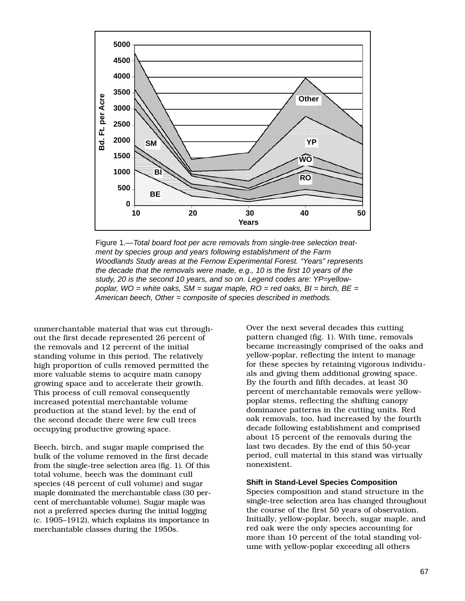

Figure 1.—Total board foot per acre removals from single-tree selection treatment by species group and years following establishment of the Farm Woodlands Study areas at the Fernow Experimental Forest. "Years" represents the decade that the removals were made, e.g., 10 is the first 10 years of the study, 20 is the second 10 years, and so on. Legend codes are: YP=yellowpoplar, WO = white oaks,  $SM = \text{s}$ ugar maple,  $RO = \text{red}$  oaks,  $Bl = \text{b}$ irch,  $BE =$ American beech, Other = composite of species described in methods.

unmerchantable material that was cut throughout the first decade represented 26 percent of the removals and 12 percent of the initial standing volume in this period. The relatively high proportion of culls removed permitted the more valuable stems to acquire main canopy growing space and to accelerate their growth. This process of cull removal consequently increased potential merchantable volume production at the stand level; by the end of the second decade there were few cull trees occupying productive growing space.

Beech, birch, and sugar maple comprised the bulk of the volume removed in the first decade from the single-tree selection area (fig. 1). Of this total volume, beech was the dominant cull species (48 percent of cull volume) and sugar maple dominated the merchantable class (30 percent of merchantable volume). Sugar maple was not a preferred species during the initial logging (c. 1905–1912), which explains its importance in merchantable classes during the 1950s.

Over the next several decades this cutting pattern changed (fig. 1). With time, removals became increasingly comprised of the oaks and yellow-poplar, reflecting the intent to manage for these species by retaining vigorous individuals and giving them additional growing space. By the fourth and fifth decades, at least 30 percent of merchantable removals were yellowpoplar stems, reflecting the shifting canopy dominance patterns in the cutting units. Red oak removals, too, had increased by the fourth decade following establishment and comprised about 15 percent of the removals during the last two decades. By the end of this 50-year period, cull material in this stand was virtually nonexistent.

#### **Shift in Stand-Level Species Composition**

Species composition and stand structure in the single-tree selection area has changed throughout the course of the first 50 years of observation. Initially, yellow-poplar, beech, sugar maple, and red oak were the only species accounting for more than 10 percent of the total standing volume with yellow-poplar exceeding all others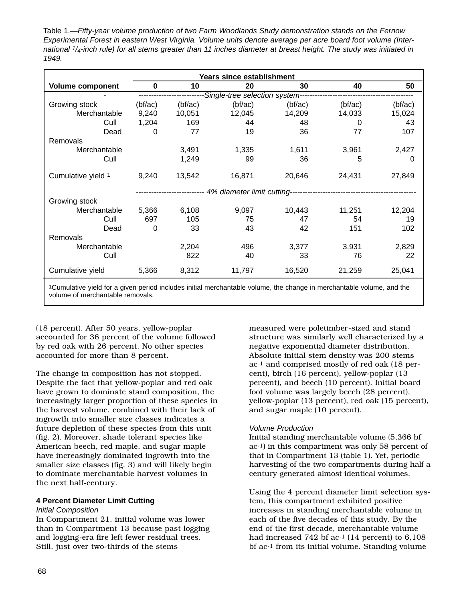Table 1.—Fifty-year volume production of two Farm Woodlands Study demonstration stands on the Fernow Experimental Forest in eastern West Virginia. Volume units denote average per acre board foot volume (International 1/4-inch rule) for all stems greater than 11 inches diameter at breast height. The study was initiated in 1949.

|                         | Years since establishment      |         |         |         |         |         |  |  |
|-------------------------|--------------------------------|---------|---------|---------|---------|---------|--|--|
| <b>Volume component</b> | 0                              | 10      | 20      | 30      | 40      | 50      |  |  |
|                         | Single-tree selection system-- |         |         |         |         |         |  |  |
| Growing stock           | (bf/ac)                        | (bf/ac) | (bf/ac) | (bf/ac) | (bf/ac) | (bf/ac) |  |  |
| Merchantable            | 9,240                          | 10,051  | 12,045  | 14,209  | 14,033  | 15,024  |  |  |
| Cull                    | 1,204                          | 169     | 44      | 48      | 0       | 43      |  |  |
| Dead                    | 0                              | 77      | 19      | 36      | 77      | 107     |  |  |
| Removals                |                                |         |         |         |         |         |  |  |
| Merchantable            |                                | 3,491   | 1,335   | 1,611   | 3,961   | 2,427   |  |  |
| Cull                    |                                | 1,249   | 99      | 36      | 5       | 0       |  |  |
| Cumulative yield 1      | 9,240                          | 13,542  | 16,871  | 20,646  | 24,431  | 27,849  |  |  |
|                         | 4% diameter limit cutting-     |         |         |         |         |         |  |  |
| Growing stock           |                                |         |         |         |         |         |  |  |
| Merchantable            | 5,366                          | 6,108   | 9,097   | 10,443  | 11,251  | 12,204  |  |  |
| Cull                    | 697                            | 105     | 75      | 47      | 54      | 19      |  |  |
| Dead                    | 0                              | 33      | 43      | 42      | 151     | 102     |  |  |
| Removals                |                                |         |         |         |         |         |  |  |
| Merchantable            |                                | 2,204   | 496     | 3,377   | 3,931   | 2,829   |  |  |
| Cull                    |                                | 822     | 40      | 33      | 76      | 22      |  |  |
| Cumulative yield        | 5,366                          | 8,312   | 11,797  | 16,520  | 21,259  | 25,041  |  |  |
|                         |                                |         |         |         |         |         |  |  |

1Cumulative yield for a given period includes initial merchantable volume, the change in merchantable volume, and the volume of merchantable removals.

(18 percent). After 50 years, yellow-poplar accounted for 36 percent of the volume followed by red oak with 26 percent. No other species accounted for more than 8 percent.

The change in composition has not stopped. Despite the fact that yellow-poplar and red oak have grown to dominate stand composition, the increasingly larger proportion of these species in the harvest volume, combined with their lack of ingrowth into smaller size classes indicates a future depletion of these species from this unit (fig. 2). Moreover, shade tolerant species like American beech, red maple, and sugar maple have increasingly dominated ingrowth into the smaller size classes (fig. 3) and will likely begin to dominate merchantable harvest volumes in the next half-century.

### **4 Percent Diameter Limit Cutting**

### Initial Composition

In Compartment 21, initial volume was lower than in Compartment 13 because past logging and logging-era fire left fewer residual trees. Still, just over two-thirds of the stems

measured were poletimber-sized and stand structure was similarly well characterized by a negative exponential diameter distribution. Absolute initial stem density was 200 stems ac-1 and comprised mostly of red oak (18 percent), birch (16 percent), yellow-poplar (13 percent), and beech (10 percent). Initial board foot volume was largely beech (28 percent), yellow-poplar (13 percent), red oak (15 percent), and sugar maple (10 percent).

# Volume Production

Initial standing merchantable volume (5,366 bf ac-1) in this compartment was only 58 percent of that in Compartment 13 (table 1). Yet, periodic harvesting of the two compartments during half a century generated almost identical volumes.

Using the 4 percent diameter limit selection system, this compartment exhibited positive increases in standing merchantable volume in each of the five decades of this study. By the end of the first decade, merchantable volume had increased 742 bf ac<sup>-1</sup> (14 percent) to 6,108 bf ac-1 from its initial volume. Standing volume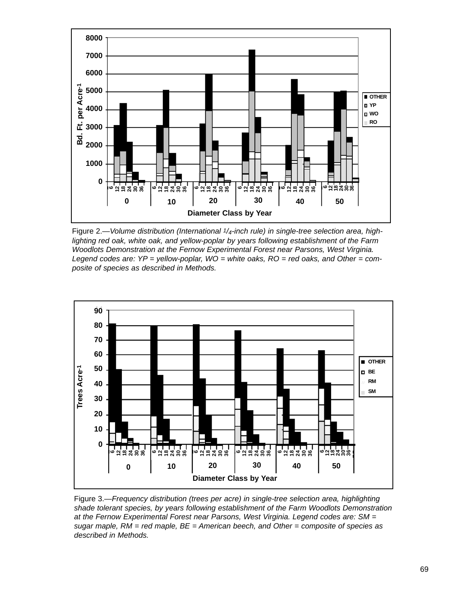

Figure 2.—Volume distribution (International 1/4-inch rule) in single-tree selection area, highlighting red oak, white oak, and yellow-poplar by years following establishment of the Farm Woodlots Demonstration at the Fernow Experimental Forest near Parsons, West Virginia. Legend codes are:  $YP =$  yellow-poplar,  $WO =$  white oaks,  $RO =$  red oaks, and Other = composite of species as described in Methods.



Figure 3.—Frequency distribution (trees per acre) in single-tree selection area, highlighting shade tolerant species, by years following establishment of the Farm Woodlots Demonstration at the Fernow Experimental Forest near Parsons, West Virginia. Legend codes are: SM = sugar maple,  $RM = red$  maple,  $BE = American$  beech, and Other = composite of species as described in Methods.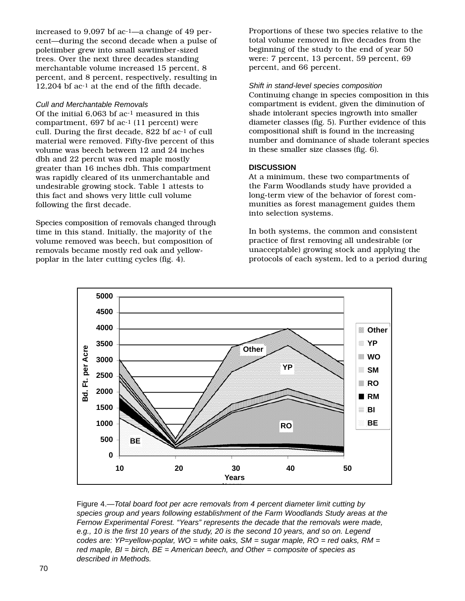increased to 9,097 bf ac-1—a change of 49 percent—during the second decade when a pulse of poletimber grew into small sawtimber-sized trees. Over the next three decades standing merchantable volume increased 15 percent, 8 percent, and 8 percent, respectively, resulting in 12,204 bf ac-1 at the end of the fifth decade.

### Cull and Merchantable Removals

Of the initial 6,063 bf ac-1 measured in this compartment, 697 bf ac-1 (11 percent) were cull. During the first decade, 822 bf ac-1 of cull material were removed. Fifty-five percent of this volume was beech between 12 and 24 inches dbh and 22 percnt was red maple mostly greater than 16 inches dbh. This compartment was rapidly cleared of its unmerchantable and undesirable growing stock. Table 1 attests to this fact and shows very little cull volume following the first decade.

Species composition of removals changed through time in this stand. Initially, the majority of the volume removed was beech, but composition of removals became mostly red oak and yellowpoplar in the later cutting cycles (fig. 4).

Proportions of these two species relative to the total volume removed in five decades from the beginning of the study to the end of year 50 were: 7 percent, 13 percent, 59 percent, 69 percent, and 66 percent.

#### Shift in stand-level species composition

Continuing change in species composition in this compartment is evident, given the diminution of shade intolerant species ingrowth into smaller diameter classes (fig. 5). Further evidence of this compositional shift is found in the increasing number and dominance of shade tolerant species in these smaller size classes (fig. 6).

### **DISCUSSION**

At a minimum, these two compartments of the Farm Woodlands study have provided a long-term view of the behavior of forest communities as forest management guides them into selection systems.

In both systems, the common and consistent practice of first removing all undesirable (or unacceptable) growing stock and applying the protocols of each system, led to a period during



Figure 4.—Total board foot per acre removals from 4 percent diameter limit cutting by species group and years following establishment of the Farm Woodlands Study areas at the Fernow Experimental Forest. "Years" represents the decade that the removals were made, e.g., 10 is the first 10 years of the study, 20 is the second 10 years, and so on. Legend codes are:  $YP=$ yellow-poplar,  $WO =$  white oaks,  $SM =$  sugar maple,  $RO =$  red oaks,  $RM =$ red maple,  $BI = birch$ ,  $BE = American$  beech, and Other = composite of species as described in Methods.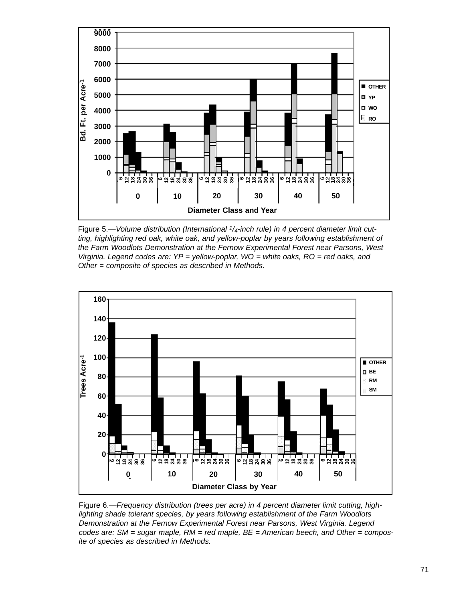

Figure 5.—Volume distribution (International  $1/4$ -inch rule) in 4 percent diameter limit cutting, highlighting red oak, white oak, and yellow-poplar by years following establishment of the Farm Woodlots Demonstration at the Fernow Experimental Forest near Parsons, West Virginia. Legend codes are: YP = yellow-poplar, WO = white oaks, RO = red oaks, and Other = composite of species as described in Methods.



Figure 6.—Frequency distribution (trees per acre) in 4 percent diameter limit cutting, highlighting shade tolerant species, by years following establishment of the Farm Woodlots Demonstration at the Fernow Experimental Forest near Parsons, West Virginia. Legend codes are:  $SM = sugar$  maple,  $RM = red$  maple,  $BE = American$  beech, and Other = composite of species as described in Methods.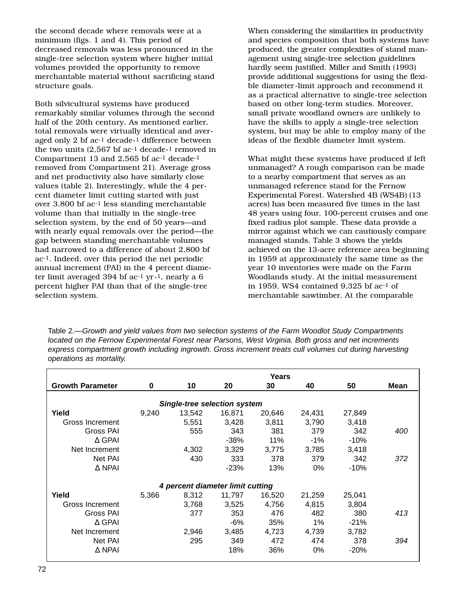the second decade where removals were at a minimum (figs. 1 and 4). This period of decreased removals was less pronounced in the single-tree selection system where higher initial volumes provided the opportunity to remove merchantable material without sacrificing stand structure goals.

Both silvicultural systems have produced remarkably similar volumes through the second half of the 20th century. As mentioned earlier, total removals were virtually identical and averaged only 2 bf ac-1 decade-1 difference between the two units (2,567 bf ac-1 decade-1 removed in Compartment 13 and 2,565 bf ac-1 decade-1 removed from Compartment 21). Average gross and net productivity also have similarly close values (table 2). Interestingly, while the 4 percent diameter limit cutting started with just over 3,800 bf ac-1 less standing merchantable volume than that initially in the single-tree selection system, by the end of 50 years—and with nearly equal removals over the period—the gap between standing merchantable volumes had narrowed to a difference of about 2,800 bf ac-1. Indeed, over this period the net periodic annual increment (PAI) in the 4 percent diameter limit averaged 394 bf ac-1 yr-1, nearly a 6 percent higher PAI than that of the single-tree selection system.

When considering the similarities in productivity and species composition that both systems have produced, the greater complexities of stand management using single-tree selection guidelines hardly seem justified. Miller and Smith (1993) provide additional suggestions for using the flexible diameter-limit approach and recommend it as a practical alternative to single-tree selection based on other long-term studies. Moreover, small private woodland owners are unlikely to have the skills to apply a single-tree selection system, but may be able to employ many of the ideas of the flexible diameter limit system.

What might these systems have produced if left unmanaged? A rough comparison can be made to a nearby compartment that serves as an unmanaged reference stand for the Fernow Experimental Forest. Watershed 4B (WS4B) (13 acres) has been measured five times in the last 48 years using four, 100-percent cruises and one fixed radius plot sample. These data provide a mirror against which we can cautiously compare managed stands. Table 3 shows the yields achieved on the 13-acre reference area beginning in 1959 at approximately the same time as the year 10 inventories were made on the Farm Woodlands study. At the initial measurement in 1959, WS4 contained 9,325 bf ac-1 of merchantable sawtimber. At the comparable

Table 2.—Growth and yield values from two selection systems of the Farm Woodlot Study Compartments located on the Fernow Experimental Forest near Parsons, West Virginia. Both gross and net increments express compartment growth including ingrowth. Gross increment treats cull volumes cut during harvesting operations as mortality.

|                                  | Years    |                                     |        |        |        |        |             |  |
|----------------------------------|----------|-------------------------------------|--------|--------|--------|--------|-------------|--|
| <b>Growth Parameter</b>          | $\bf{0}$ | 10                                  | 20     | 30     | 40     | 50     | <b>Mean</b> |  |
|                                  |          |                                     |        |        |        |        |             |  |
|                                  |          | <b>Single-tree selection system</b> |        |        |        |        |             |  |
| Yield                            | 9,240    | 13.542                              | 16.871 | 20,646 | 24,431 | 27,849 |             |  |
| Gross Increment                  |          | 5,551                               | 3,428  | 3,811  | 3,790  | 3,418  |             |  |
| Gross PAI                        |          | 555                                 | 343    | 381    | 379    | 342    | 400         |  |
| $\Delta$ GPAI                    |          |                                     | $-38%$ | 11%    | $-1%$  | $-10%$ |             |  |
| Net Increment                    |          | 4,302                               | 3,329  | 3,775  | 3,785  | 3,418  |             |  |
| Net PAI                          |          | 430                                 | 333    | 378    | 379    | 342    | 372         |  |
| $\Delta$ NPAI                    |          |                                     | $-23%$ | 13%    | $0\%$  | $-10%$ |             |  |
| 4 percent diameter limit cutting |          |                                     |        |        |        |        |             |  |
| Yield                            | 5,366    | 8,312                               | 11,797 | 16,520 | 21,259 | 25,041 |             |  |
| <b>Gross Increment</b>           |          | 3,768                               | 3,525  | 4,756  | 4,815  | 3,804  |             |  |
| Gross PAI                        |          | 377                                 | 353    | 476    | 482    | 380    | 413         |  |
| $\Delta$ GPAI                    |          |                                     | -6%    | 35%    | $1\%$  | $-21%$ |             |  |
| Net Increment                    |          | 2,946                               | 3,485  | 4,723  | 4,739  | 3,782  |             |  |
| Net PAI                          |          | 295                                 | 349    | 472    | 474    | 378    | 394         |  |
| $\Delta$ NPAI                    |          |                                     | 18%    | 36%    | 0%     | $-20%$ |             |  |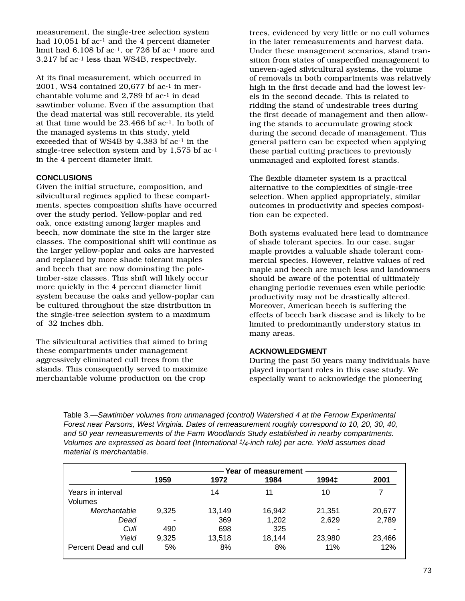measurement, the single-tree selection system had 10,051 bf ac-1 and the 4 percent diameter limit had 6,108 bf ac-1, or 726 bf ac-1 more and 3,217 bf ac-1 less than WS4B, respectively.

At its final measurement, which occurred in 2001, WS4 contained 20.677 bf  $ac<sup>-1</sup>$  in merchantable volume and 2,789 bf ac-1 in dead sawtimber volume. Even if the assumption that the dead material was still recoverable, its yield at that time would be 23,466 bf ac-1. In both of the managed systems in this study, yield exceeded that of WS4B by 4,383 bf ac-1 in the single-tree selection system and by 1,575 bf ac-1 in the 4 percent diameter limit.

## **CONCLUSIONS**

Given the initial structure, composition, and silvicultural regimes applied to these compartments, species composition shifts have occurred over the study period. Yellow-poplar and red oak, once existing among larger maples and beech, now dominate the site in the larger size classes. The compositional shift will continue as the larger yellow-poplar and oaks are harvested and replaced by more shade tolerant maples and beech that are now dominating the poletimber-size classes. This shift will likely occur more quickly in the 4 percent diameter limit system because the oaks and yellow-poplar can be cultured throughout the size distribution in the single-tree selection system to a maximum of 32 inches dbh.

The silvicultural activities that aimed to bring these compartments under management aggressively eliminated cull trees from the stands. This consequently served to maximize merchantable volume production on the crop

trees, evidenced by very little or no cull volumes in the later remeasurements and harvest data. Under these management scenarios, stand transition from states of unspecified management to uneven-aged silvicultural systems, the volume of removals in both compartments was relatively high in the first decade and had the lowest levels in the second decade. This is related to ridding the stand of undesirable trees during the first decade of management and then allowing the stands to accumulate growing stock during the second decade of management. This general pattern can be expected when applying these partial cutting practices to previously unmanaged and exploited forest stands.

The flexible diameter system is a practical alternative to the complexities of single-tree selection. When applied appropriately, similar outcomes in productivity and species composition can be expected.

Both systems evaluated here lead to dominance of shade tolerant species. In our case, sugar maple provides a valuable shade tolerant commercial species. However, relative values of red maple and beech are much less and landowners should be aware of the potential of ultimately changing periodic revenues even while periodic productivity may not be drastically altered. Moreover, American beech is suffering the effects of beech bark disease and is likely to be limited to predominantly understory status in many areas.

### **ACKNOWLEDGMENT**

During the past 50 years many individuals have played important roles in this case study. We especially want to acknowledge the pioneering

Table 3.—Sawtimber volumes from unmanaged (control) Watershed 4 at the Fernow Experimental Forest near Parsons, West Virginia. Dates of remeasurement roughly correspond to 10, 20, 30, 40, and 50 year remeasurements of the Farm Woodlands Study established in nearby compartments. Volumes are expressed as board feet (International 1/4-inch rule) per acre. Yield assumes dead material is merchantable.

|                              |       | Year of measurement |        |        |        |
|------------------------------|-------|---------------------|--------|--------|--------|
|                              | 1959  | 1972                | 1984   | 1994‡  | 2001   |
| Years in interval<br>Volumes |       | 14                  | 11     | 10     | 7      |
| Merchantable                 | 9,325 | 13,149              | 16,942 | 21,351 | 20,677 |
| Dead                         |       | 369                 | 1,202  | 2,629  | 2,789  |
| Cull                         | 490   | 698                 | 325    |        |        |
| Yield                        | 9,325 | 13,518              | 18.144 | 23,980 | 23,466 |
| Percent Dead and cull        | 5%    | 8%                  | 8%     | 11%    | 12%    |